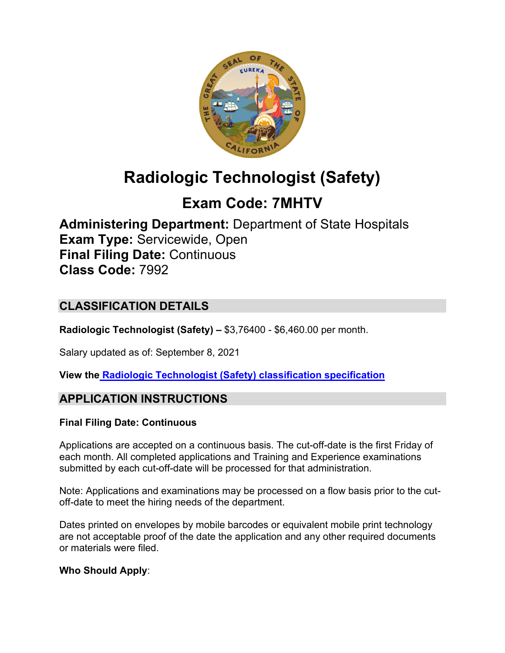

# **Radiologic Technologist (Safety)**

## **Exam Code: 7MHTV**

**Administering Department:** Department of State Hospitals **Exam Type:** Servicewide, Open **Final Filing Date:** Continuous **Class Code:** 7992

## **CLASSIFICATION DETAILS**

**Radiologic Technologist (Safety) –** \$3,76400 - \$6,460.00 per month.

Salary updated as of: September 8, 2021

**View the [Radiologic Technologist \(Safety\) classification](https://www.calhr.ca.gov/state-hr-professionals/pages/7992.aspx) specification**

## **APPLICATION INSTRUCTIONS**

## **Final Filing Date: Continuous**

Applications are accepted on a continuous basis. The cut-off-date is the first Friday of each month. All completed applications and Training and Experience examinations submitted by each cut-off-date will be processed for that administration.

Note: Applications and examinations may be processed on a flow basis prior to the cutoff-date to meet the hiring needs of the department.

Dates printed on envelopes by mobile barcodes or equivalent mobile print technology are not acceptable proof of the date the application and any other required documents or materials were filed.

## **Who Should Apply**: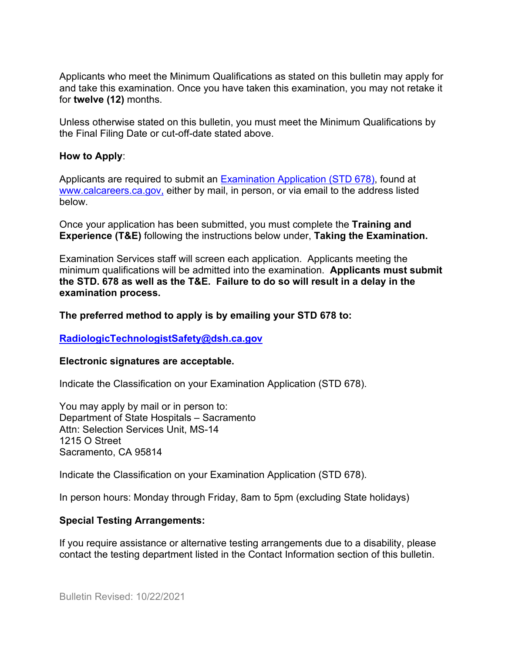Applicants who meet the Minimum Qualifications as stated on this bulletin may apply for and take this examination. Once you have taken this examination, you may not retake it for **twelve (12)** months.

Unless otherwise stated on this bulletin, you must meet the Minimum Qualifications by the Final Filing Date or cut-off-date stated above.

#### **How to Apply**:

Applicants are required to submit an [Examination Application \(STD 678\),](https://jobs.ca.gov/pdf/std678.pdf) found at [www.calcareers.ca.gov,](http://www.calcareers.ca.gov/) either by mail, in person, or via email to the address listed below.

Once your application has been submitted, you must complete the **Training and Experience (T&E)** following the instructions below under, **Taking the Examination.**

Examination Services staff will screen each application. Applicants meeting the minimum qualifications will be admitted into the examination. **Applicants must submit the STD. 678 as well as the T&E. Failure to do so will result in a delay in the examination process.**

#### **The preferred method to apply is by emailing your STD 678 to:**

#### **[RadiologicTechnologistSafety@dsh.ca.gov](mailto:RadiologicTechnologistSafety@dsh.ca.gov)**

#### **Electronic signatures are acceptable.**

Indicate the Classification on your Examination Application (STD 678).

You may apply by mail or in person to: Department of State Hospitals – Sacramento Attn: Selection Services Unit, MS-14 1215 O Street Sacramento, CA 95814

Indicate the Classification on your Examination Application (STD 678).

In person hours: Monday through Friday, 8am to 5pm (excluding State holidays)

#### **Special Testing Arrangements:**

If you require assistance or alternative testing arrangements due to a disability, please contact the testing department listed in the Contact Information section of this bulletin.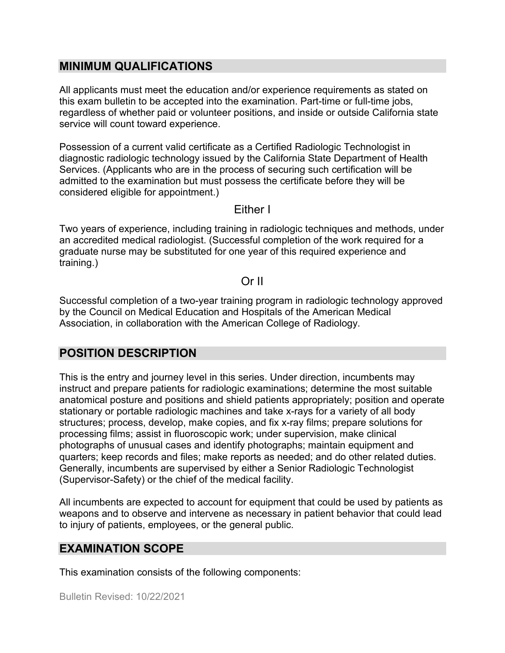## **MINIMUM QUALIFICATIONS**

All applicants must meet the education and/or experience requirements as stated on this exam bulletin to be accepted into the examination. Part-time or full-time jobs, regardless of whether paid or volunteer positions, and inside or outside California state service will count toward experience.

Possession of a current valid certificate as a Certified Radiologic Technologist in diagnostic radiologic technology issued by the California State Department of Health Services. (Applicants who are in the process of securing such certification will be admitted to the examination but must possess the certificate before they will be considered eligible for appointment.)

Either I

Two years of experience, including training in radiologic techniques and methods, under an accredited medical radiologist. (Successful completion of the work required for a graduate nurse may be substituted for one year of this required experience and training.)

### Or II

Successful completion of a two-year training program in radiologic technology approved by the Council on Medical Education and Hospitals of the American Medical Association, in collaboration with the American College of Radiology.

## **POSITION DESCRIPTION**

This is the entry and journey level in this series. Under direction, incumbents may instruct and prepare patients for radiologic examinations; determine the most suitable anatomical posture and positions and shield patients appropriately; position and operate stationary or portable radiologic machines and take x-rays for a variety of all body structures; process, develop, make copies, and fix x-ray films; prepare solutions for processing films; assist in fluoroscopic work; under supervision, make clinical photographs of unusual cases and identify photographs; maintain equipment and quarters; keep records and files; make reports as needed; and do other related duties. Generally, incumbents are supervised by either a Senior Radiologic Technologist (Supervisor-Safety) or the chief of the medical facility.

All incumbents are expected to account for equipment that could be used by patients as weapons and to observe and intervene as necessary in patient behavior that could lead to injury of patients, employees, or the general public.

## **EXAMINATION SCOPE**

This examination consists of the following components: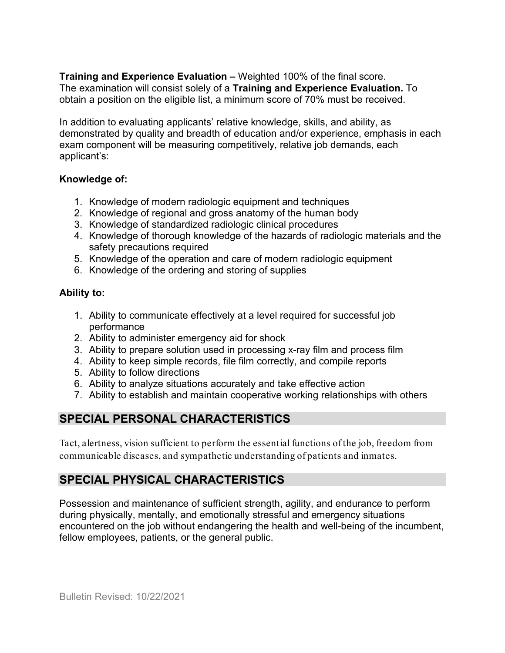**Training and Experience Evaluation –** Weighted 100% of the final score. The examination will consist solely of a **Training and Experience Evaluation.** To obtain a position on the eligible list, a minimum score of 70% must be received.

In addition to evaluating applicants' relative knowledge, skills, and ability, as demonstrated by quality and breadth of education and/or experience, emphasis in each exam component will be measuring competitively, relative job demands, each applicant's:

#### **Knowledge of:**

- 1. Knowledge of modern radiologic equipment and techniques
- 2. Knowledge of regional and gross anatomy of the human body
- 3. Knowledge of standardized radiologic clinical procedures
- 4. Knowledge of thorough knowledge of the hazards of radiologic materials and the safety precautions required
- 5. Knowledge of the operation and care of modern radiologic equipment
- 6. Knowledge of the ordering and storing of supplies

#### **Ability to:**

- 1. Ability to communicate effectively at a level required for successful job performance
- 2. Ability to administer emergency aid for shock
- 3. Ability to prepare solution used in processing x-ray film and process film
- 4. Ability to keep simple records, file film correctly, and compile reports
- 5. Ability to follow directions
- 6. Ability to analyze situations accurately and take effective action
- 7. Ability to establish and maintain cooperative working relationships with others

## **SPECIAL PERSONAL CHARACTERISTICS**

Tact, alertness, vision sufficient to perform the essential functions of the job, freedom from communicable diseases, and sympathetic understanding of patients and inmates.

## **SPECIAL PHYSICAL CHARACTERISTICS**

Possession and maintenance of sufficient strength, agility, and endurance to perform during physically, mentally, and emotionally stressful and emergency situations encountered on the job without endangering the health and well-being of the incumbent, fellow employees, patients, or the general public.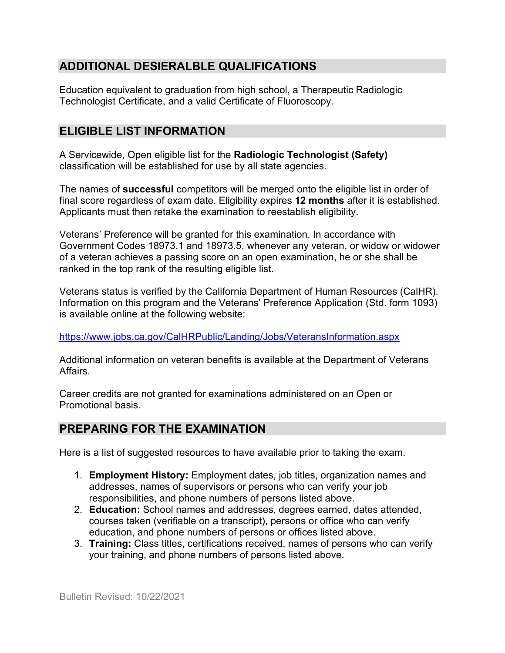## **ADDITIONAL DESIERALBLE QUALIFICATIONS**

Education equivalent to graduation from high school, a Therapeutic Radiologic Technologist Certificate, and a valid Certificate of Fluoroscopy.

## **ELIGIBLE LIST INFORMATION**

A Servicewide, Open eligible list for the **Radiologic Technologist (Safety)** classification will be established for use by all state agencies.

The names of **successful** competitors will be merged onto the eligible list in order of final score regardless of exam date. Eligibility expires **12 months** after it is established. Applicants must then retake the examination to reestablish eligibility.

Veterans' Preference will be granted for this examination. In accordance with Government Codes 18973.1 and 18973.5, whenever any veteran, or widow or widower of a veteran achieves a passing score on an open examination, he or she shall be ranked in the top rank of the resulting eligible list.

Veterans status is verified by the California Department of Human Resources (CalHR). Information on this program and the Veterans' Preference Application (Std. form 1093) is available online at the following website:

<https://www.jobs.ca.gov/CalHRPublic/Landing/Jobs/VeteransInformation.aspx>

Additional information on veteran benefits is available at the Department of Veterans Affairs.

Career credits are not granted for examinations administered on an Open or Promotional basis.

## **PREPARING FOR THE EXAMINATION**

Here is a list of suggested resources to have available prior to taking the exam.

- 1. **Employment History:** Employment dates, job titles, organization names and addresses, names of supervisors or persons who can verify your job responsibilities, and phone numbers of persons listed above.
- 2. **Education:** School names and addresses, degrees earned, dates attended, courses taken (verifiable on a transcript), persons or office who can verify education, and phone numbers of persons or offices listed above.
- 3. **Training:** Class titles, certifications received, names of persons who can verify your training, and phone numbers of persons listed above.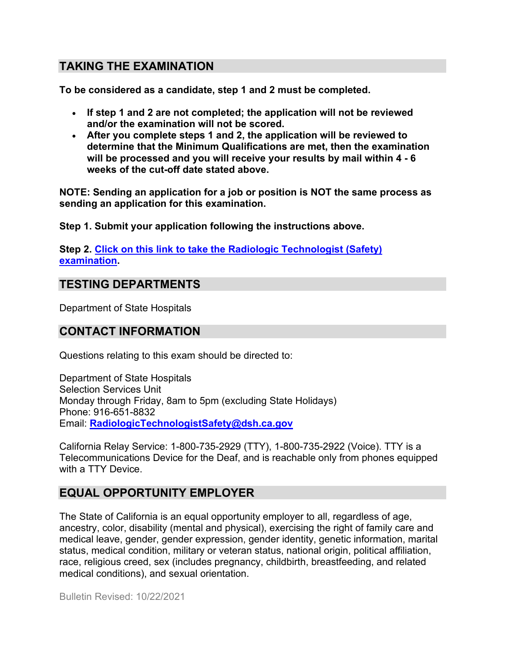## **TAKING THE EXAMINATION**

**To be considered as a candidate, step 1 and 2 must be completed.**

- **If step 1 and 2 are not completed; the application will not be reviewed and/or the examination will not be scored.**
- **After you complete steps 1 and 2, the application will be reviewed to determine that the Minimum Qualifications are met, then the examination will be processed and you will receive your results by mail within 4 - 6 weeks of the cut-off date stated above.**

**NOTE: Sending an application for a job or position is NOT the same process as sending an application for this examination.**

**Step 1. Submit your application following the instructions above.**

**Step 2. [Click on this link to take the Radiologic Technologist](https://www.surveymonkey.com/r/P92MWRH) (Safety) [examination.](https://www.surveymonkey.com/r/P92MWRH)**

## **TESTING DEPARTMENTS**

Department of State Hospitals

## **CONTACT INFORMATION**

Questions relating to this exam should be directed to:

Department of State Hospitals Selection Services Unit Monday through Friday, 8am to 5pm (excluding State Holidays) Phone: 916-651-8832 Email: **[RadiologicTechnologistSafety@dsh.ca.gov](mailto:RadiologicTechnologistSafety@dsh.ca.gov)**

California Relay Service: 1-800-735-2929 (TTY), 1-800-735-2922 (Voice). TTY is a Telecommunications Device for the Deaf, and is reachable only from phones equipped with a TTY Device.

## **EQUAL OPPORTUNITY EMPLOYER**

The State of California is an equal opportunity employer to all, regardless of age, ancestry, color, disability (mental and physical), exercising the right of family care and medical leave, gender, gender expression, gender identity, genetic information, marital status, medical condition, military or veteran status, national origin, political affiliation, race, religious creed, sex (includes pregnancy, childbirth, breastfeeding, and related medical conditions), and sexual orientation.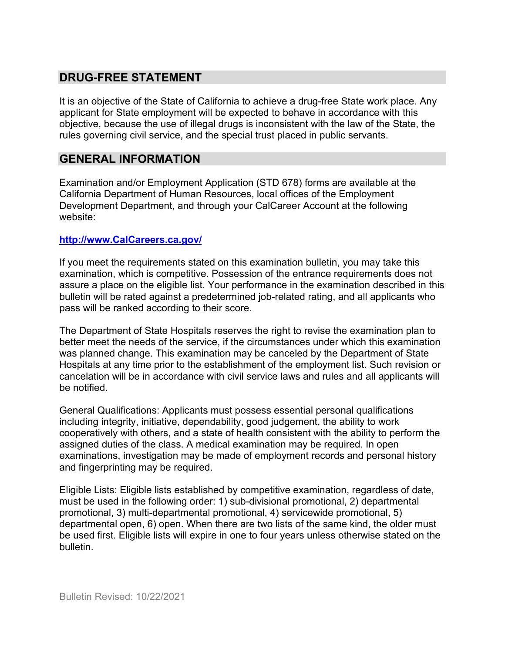## **DRUG-FREE STATEMENT**

It is an objective of the State of California to achieve a drug-free State work place. Any applicant for State employment will be expected to behave in accordance with this objective, because the use of illegal drugs is inconsistent with the law of the State, the rules governing civil service, and the special trust placed in public servants.

## **GENERAL INFORMATION**

Examination and/or Employment Application (STD 678) forms are available at the California Department of Human Resources, local offices of the Employment Development Department, and through your CalCareer Account at the following website:

#### **[http://www.CalCareers.ca.gov/](http://www.calcareers.ca.gov/)**

If you meet the requirements stated on this examination bulletin, you may take this examination, which is competitive. Possession of the entrance requirements does not assure a place on the eligible list. Your performance in the examination described in this bulletin will be rated against a predetermined job-related rating, and all applicants who pass will be ranked according to their score.

The Department of State Hospitals reserves the right to revise the examination plan to better meet the needs of the service, if the circumstances under which this examination was planned change. This examination may be canceled by the Department of State Hospitals at any time prior to the establishment of the employment list. Such revision or cancelation will be in accordance with civil service laws and rules and all applicants will be notified.

General Qualifications: Applicants must possess essential personal qualifications including integrity, initiative, dependability, good judgement, the ability to work cooperatively with others, and a state of health consistent with the ability to perform the assigned duties of the class. A medical examination may be required. In open examinations, investigation may be made of employment records and personal history and fingerprinting may be required.

Eligible Lists: Eligible lists established by competitive examination, regardless of date, must be used in the following order: 1) sub-divisional promotional, 2) departmental promotional, 3) multi-departmental promotional, 4) servicewide promotional, 5) departmental open, 6) open. When there are two lists of the same kind, the older must be used first. Eligible lists will expire in one to four years unless otherwise stated on the bulletin.